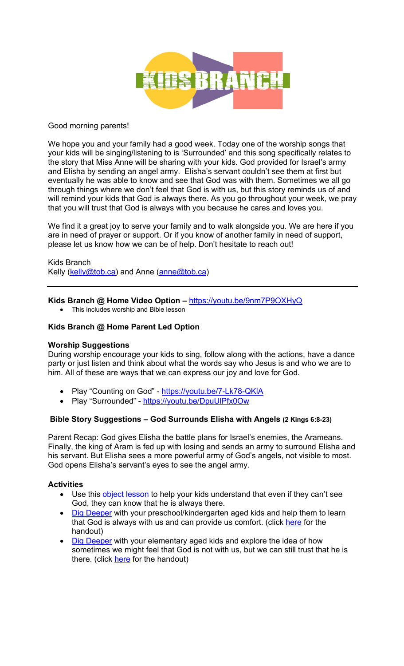

## Good morning parents!

We hope you and your family had a good week. Today one of the worship songs that your kids will be singing/listening to is 'Surrounded' and this song specifically relates to the story that Miss Anne will be sharing with your kids. God provided for Israel's army and Elisha by sending an angel army. Elisha's servant couldn't see them at first but eventually he was able to know and see that God was with them. Sometimes we all go through things where we don't feel that God is with us, but this story reminds us of and will remind your kids that God is always there. As you go throughout your week, we pray that you will trust that God is always with you because he cares and loves you.

We find it a great joy to serve your family and to walk alongside you. We are here if you are in need of prayer or support. Or if you know of another family in need of support, please let us know how we can be of help. Don't hesitate to reach out!

Kids Branch Kelly (kelly@tob.ca) and Anne (anne@tob.ca)

# **Kids Branch @ Home Video Option –** https://youtu.be/9nm7P9OXHyQ

• This includes worship and Bible lesson

## **Kids Branch @ Home Parent Led Option**

#### **Worship Suggestions**

During worship encourage your kids to sing, follow along with the actions, have a dance party or just listen and think about what the words say who Jesus is and who we are to him. All of these are ways that we can express our joy and love for God.

- Play "Counting on God" https://youtu.be/7-Lk78-QKIA
- Play "Surrounded" https://youtu.be/DpuUlPfx0Ow

#### **Bible Story Suggestions – God Surrounds Elisha with Angels (2 Kings 6:8-23)**

Parent Recap: God gives Elisha the battle plans for Israel's enemies, the Arameans. Finally, the king of Aram is fed up with losing and sends an army to surround Elisha and his servant. But Elisha sees a more powerful army of God's angels, not visible to most. God opens Elisha's servant's eyes to see the angel army.

# **Activities**

- Use this object lesson to help your kids understand that even if they can't see God, they can know that he is always there.
- Dig Deeper with your preschool/kindergarten aged kids and help them to learn that God is always with us and can provide us comfort. (click here for the handout)
- Dig Deeper with your elementary aged kids and explore the idea of how sometimes we might feel that God is not with us, but we can still trust that he is there. (click here for the handout)